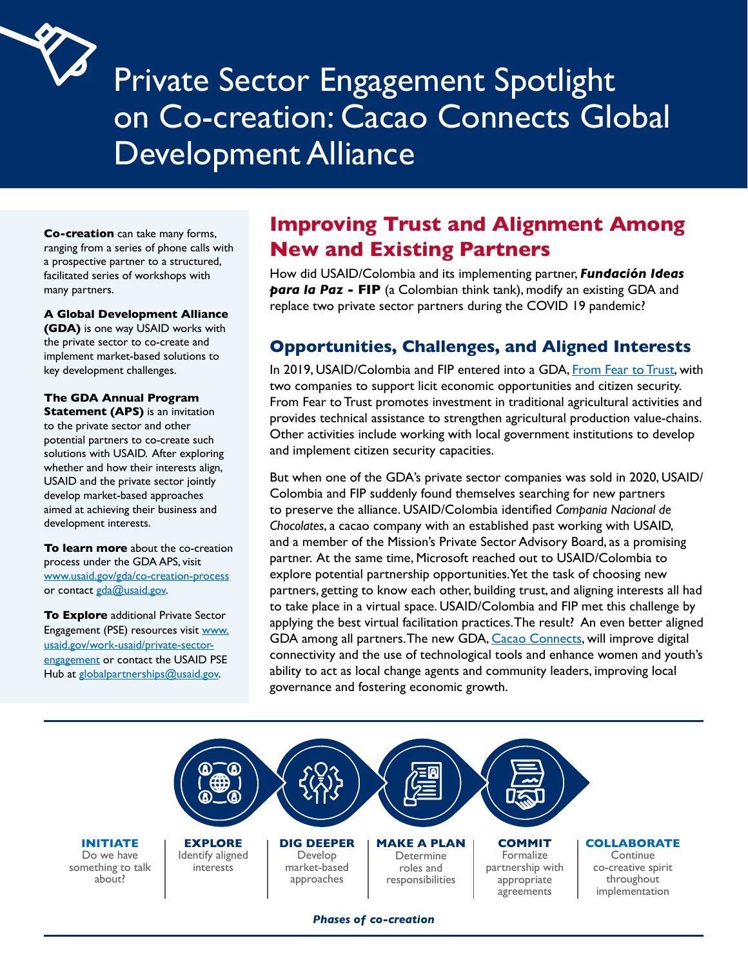

# Private Sector Engagement Spotlight on Co-creation: Cacao Connects Global Development Alliance

**Co-creation** can take many forms, ranging from a series of phone calls with a prospective partner to a structured, facilitated series of workshops with many partners.

**A Global Development Alliance (GDA)** is one way USAID works with the private sector to co-create and implement market-based solutions to key development challenges.

**The GDA Annual Program Statement (APS)** is an invitation to the private sector and other potential partners to co-create such solutions with USAID. After exploring whether and how their interests align, USAID and the private sector jointly develop market-based approaches aimed at achieving their business and development interests.

**To learn more** about the co-creation process under the GDA APS, visit [www.usaid.gov/gda/co-creation-process](http://www.usaid.gov/gda/co-creation-process) or contact [gda@usaid.gov.](http://gda@usaid.gov)

**To Explore** additional Private Sector Engagement (PSE) resources visit [www.](http://www.usaid.gov/work-usaid/private-sector-engagement) [usaid.gov/work-usaid/private-sector](http://www.usaid.gov/work-usaid/private-sector-engagement)[engagement](http://www.usaid.gov/work-usaid/private-sector-engagement) or contact the USAID PSE Hub at [globalpartnerships@usaid.gov.](http://globalpartnerships@usaid.gov)

## **Improving Trust and Alignment Among New and Existing Partners**

How did USAID/Colombia and its implementing partner, *Fundación Ideas para la Paz* - FIP (a Colombian think tank), modify an existing GDA and replace two private sector partners during the COVID 19 pandemic?

### **Opportunities, Challenges, and Aligned Interests**

In 2019, USAID/Colombia and FIP entered into a GDA, [From Fear to Trust](https://drive.google.com/file/d/1Wvvx4L4JpbyLMWJa_WjobVj0y3hND9UZ/view), with two companies to support licit economic opportunities and citizen security. From Fear to Trust promotes investment in traditional agricultural activities and provides technical assistance to strengthen agricultural production value-chains. Other activities include working with local government institutions to develop and implement citizen security capacities.

But when one of the GDA's private sector companies was sold in 2020, USAID/ Colombia and FIP suddenly found themselves searching for new partners to preserve the alliance. USAID/Colombia identified *Compania Nacional de Chocolates*, a cacao company with an established past working with USAID, and a member of the Mission's Private Sector Advisory Board, as a promising partner. At the same time, Microsoft reached out to USAID/Colombia to explore potential partnership opportunities. Yet the task of choosing new partners, getting to know each other, building trust, and aligning interests all had to take place in a virtual space. USAID/Colombia and FIP met this challenge by applying the best virtual facilitation practices. The result? An even better aligned GDA among all partners. The new GDA, [Cacao Connects](https://www.usaid.gov/colombia/fact-sheets/pgo-cacao-connects), will improve digital connectivity and the use of technological tools and enhance women and youth's ability to act as local change agents and community leaders, improving local governance and fostering economic growth.